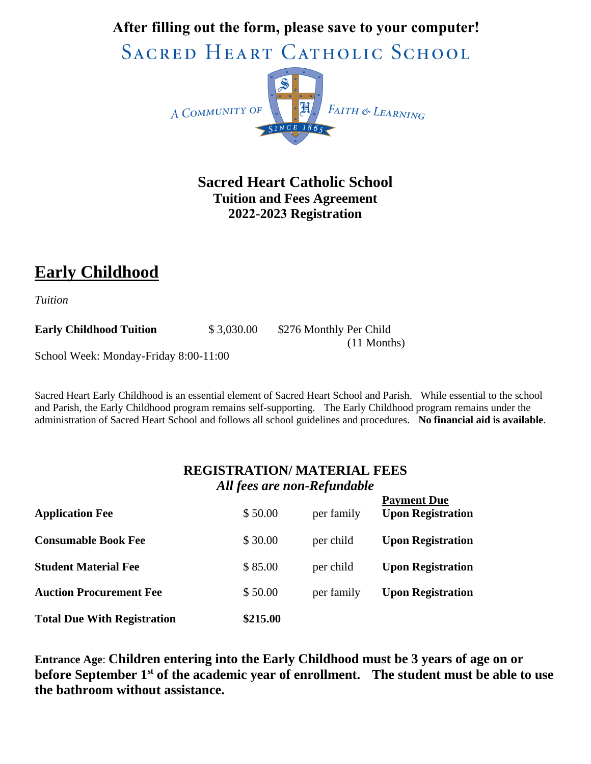**After filling out the form, please save to your computer!**SACRED HEART CATHOLIC SCHOOL



**Sacred Heart Catholic School Tuition and Fees Agreement 2022-2023 Registration** 

# **Early Childhood**

*Tuition*

**Early Childhood Tuition** \$ 3,030.00 \$276 Monthly Per Child (11 Months)

School Week: Monday-Friday 8:00-11:00

Sacred Heart Early Childhood is an essential element of Sacred Heart School and Parish. While essential to the school and Parish, the Early Childhood program remains self-supporting. The Early Childhood program remains under the administration of Sacred Heart School and follows all school guidelines and procedures. **No financial aid is available**.

### **REGISTRATION/ MATERIAL FEES** *All fees are non-Refundable*

| <b>Total Due With Registration</b> | \$215.00 |            |                                                |
|------------------------------------|----------|------------|------------------------------------------------|
| <b>Auction Procurement Fee</b>     | \$50.00  | per family | <b>Upon Registration</b>                       |
| <b>Student Material Fee</b>        | \$85.00  | per child  | <b>Upon Registration</b>                       |
| <b>Consumable Book Fee</b>         | \$30.00  | per child  | <b>Upon Registration</b>                       |
| <b>Application Fee</b>             | \$50.00  | per family | <b>Payment Due</b><br><b>Upon Registration</b> |

**Entrance Age**: **Children entering into the Early Childhood must be 3 years of age on or before September 1st of the academic year of enrollment. The student must be able to use the bathroom without assistance.**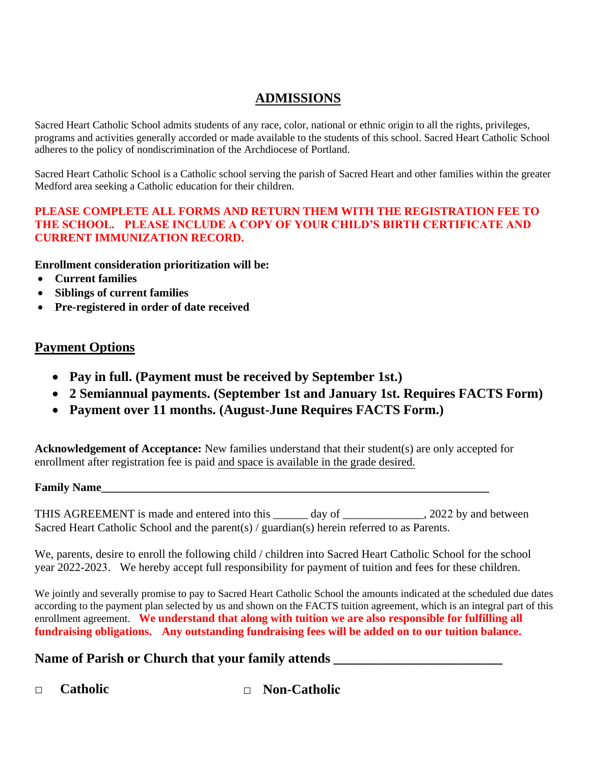### **ADMISSIONS**

Sacred Heart Catholic School admits students of any race, color, national or ethnic origin to all the rights, privileges, programs and activities generally accorded or made available to the students of this school. Sacred Heart Catholic School adheres to the policy of nondiscrimination of the Archdiocese of Portland.

Sacred Heart Catholic School is a Catholic school serving the parish of Sacred Heart and other families within the greater Medford area seeking a Catholic education for their children.

### **PLEASE COMPLETE ALL FORMS AND RETURN THEM WITH THE REGISTRATION FEE TO THE SCHOOL. PLEASE INCLUDE A COPY OF YOUR CHILD'S BIRTH CERTIFICATE AND CURRENT IMMUNIZATION RECORD.**

**Enrollment consideration prioritization will be:**

- **Current families**
- **Siblings of current families**
- **Pre-registered in order of date received**

### **Payment Options**

- **Pay in full. (Payment must be received by September 1st.)**
- **2 Semiannual payments. (September 1st and January 1st. Requires FACTS Form)**
- **Payment over 11 months. (August-June Requires FACTS Form.)**

**Acknowledgement of Acceptance:** New families understand that their student(s) are only accepted for enrollment after registration fee is paid and space is available in the grade desired.

#### **Family Name**

THIS AGREEMENT is made and entered into this \_\_\_\_\_\_ day of \_\_\_\_\_\_\_\_\_\_\_\_, 2022 by and between Sacred Heart Catholic School and the parent(s) / guardian(s) herein referred to as Parents.

We, parents, desire to enroll the following child / children into Sacred Heart Catholic School for the school year 2022-2023. We hereby accept full responsibility for payment of tuition and fees for these children.

We jointly and severally promise to pay to Sacred Heart Catholic School the amounts indicated at the scheduled due dates according to the payment plan selected by us and shown on the FACTS tuition agreement, which is an integral part of this enrollment agreement. **We understand that along with tuition we are also responsible for fulfilling all fundraising obligations. Any outstanding fundraising fees will be added on to our tuition balance.**

### Name of Parish or Church that your family attends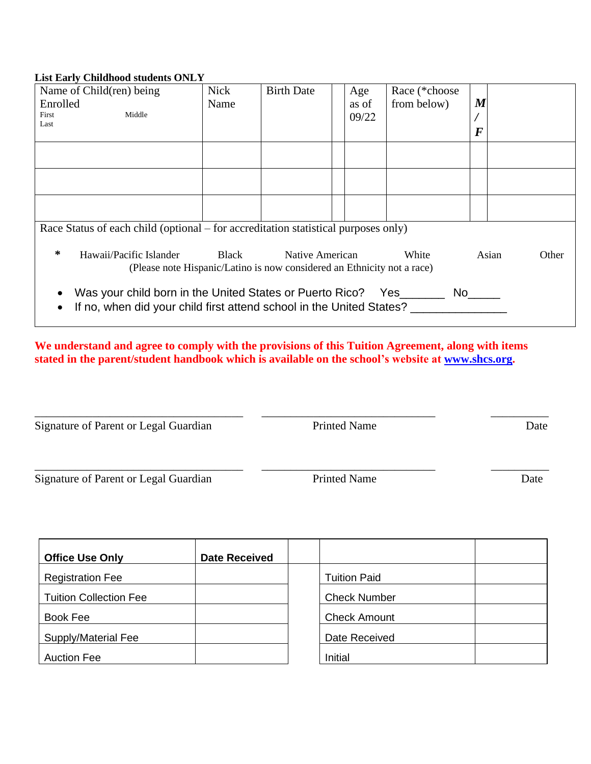#### **List Early Childhood students ONLY**

| Name of Child(ren) being<br>Enrolled<br>Middle<br>First<br>Last                                                                      | <b>Nick</b><br>Name | <b>Birth Date</b>                                                                          | Age<br>as of<br>09/22 | Race (*choose<br>from below) | $\boldsymbol{M}$<br>$\bm{F}$ |  |       |
|--------------------------------------------------------------------------------------------------------------------------------------|---------------------|--------------------------------------------------------------------------------------------|-----------------------|------------------------------|------------------------------|--|-------|
|                                                                                                                                      |                     |                                                                                            |                       |                              |                              |  |       |
|                                                                                                                                      |                     |                                                                                            |                       |                              |                              |  |       |
|                                                                                                                                      |                     |                                                                                            |                       |                              |                              |  |       |
| Race Status of each child (optional – for accreditation statistical purposes only)                                                   |                     |                                                                                            |                       |                              |                              |  |       |
| ∗<br>Hawaii/Pacific Islander                                                                                                         | Black               | Native American<br>(Please note Hispanic/Latino is now considered an Ethnicity not a race) |                       | White                        | Asian                        |  | Other |
| Was your child born in the United States or Puerto Rico? Yes<br>If no, when did your child first attend school in the United States? |                     |                                                                                            |                       |                              | No l                         |  |       |

**We understand and agree to comply with the provisions of this Tuition Agreement, along with items stated in the parent/student handbook which is available on the school's website at [www.shcs.org.](www.shcs.org)**

| <b>Printed Name</b> | Date |
|---------------------|------|
| <b>Printed Name</b> | Date |
|                     |      |

| <b>Office Use Only</b>        | <b>Date Received</b> |                     |  |
|-------------------------------|----------------------|---------------------|--|
| <b>Registration Fee</b>       |                      | <b>Tuition Paid</b> |  |
| <b>Tuition Collection Fee</b> |                      | <b>Check Number</b> |  |
| Book Fee                      |                      | <b>Check Amount</b> |  |
| Supply/Material Fee           |                      | Date Received       |  |
| <b>Auction Fee</b>            |                      | Initial             |  |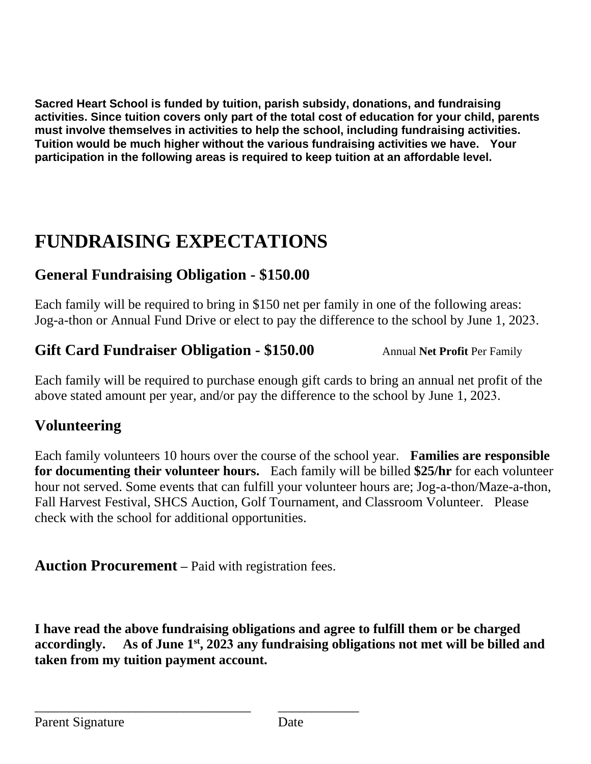**Sacred Heart School is funded by tuition, parish subsidy, donations, and fundraising activities. Since tuition covers only part of the total cost of education for your child, parents must involve themselves in activities to help the school, including fundraising activities. Tuition would be much higher without the various fundraising activities we have. Your participation in the following areas is required to keep tuition at an affordable level.** 

# **FUNDRAISING EXPECTATIONS**

# **General Fundraising Obligation - \$150.00**

Each family will be required to bring in \$150 net per family in one of the following areas: Jog-a-thon or Annual Fund Drive or elect to pay the difference to the school by June 1, 2023.

## **Gift Card Fundraiser Obligation - \$150.00** Annual **Net Profit** Per Family

Each family will be required to purchase enough gift cards to bring an annual net profit of the above stated amount per year, and/or pay the difference to the school by June 1, 2023.

# **Volunteering**

Each family volunteers 10 hours over the course of the school year. **Families are responsible for documenting their volunteer hours.** Each family will be billed **\$25/hr** for each volunteer hour not served. Some events that can fulfill your volunteer hours are; Jog-a-thon/Maze-a-thon, Fall Harvest Festival, SHCS Auction, Golf Tournament, and Classroom Volunteer. Please check with the school for additional opportunities.

**Auction Procurement –** Paid with registration fees.

\_\_\_\_\_\_\_\_\_\_\_\_\_\_\_\_\_\_\_\_\_\_\_\_\_\_\_\_\_\_\_\_ \_\_\_\_\_\_\_\_\_\_\_\_

**I have read the above fundraising obligations and agree to fulfill them or be charged accordingly. As of June 1st , 2023 any fundraising obligations not met will be billed and taken from my tuition payment account.**